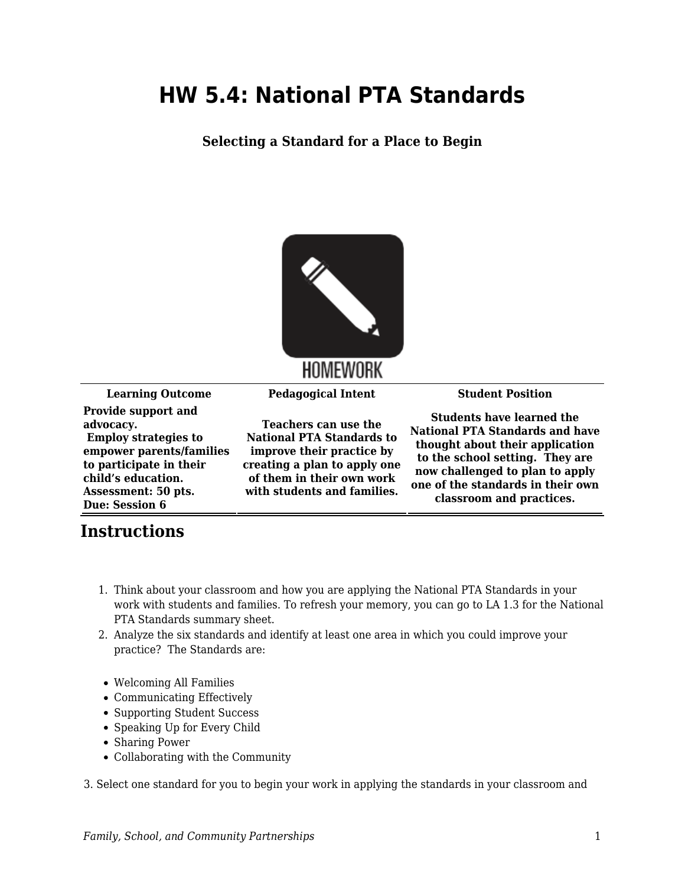## **HW 5.4: National PTA Standards**

**Selecting a Standard for a Place to Begin**



**HOMEWORK** 

**Learning Outcome Pedagogical Intent Student Position**

**Provide support and advocacy. Employ strategies to empower parents/families to participate in their child's education. Assessment: 50 pts. Due: Session 6**

**Teachers can use the National PTA Standards to improve their practice by creating a plan to apply one of them in their own work with students and families.**

**Students have learned the National PTA Standards and have thought about their application to the school setting. They are now challenged to plan to apply one of the standards in their own classroom and practices.**

## **Instructions**

- 1. Think about your classroom and how you are applying the National PTA Standards in your work with students and families. To refresh your memory, you can go to LA 1.3 for the National PTA Standards summary sheet.
- 2. Analyze the six standards and identify at least one area in which you could improve your practice? The Standards are:
- Welcoming All Families
- Communicating Effectively
- Supporting Student Success
- Speaking Up for Every Child
- Sharing Power
- Collaborating with the Community

3. Select one standard for you to begin your work in applying the standards in your classroom and